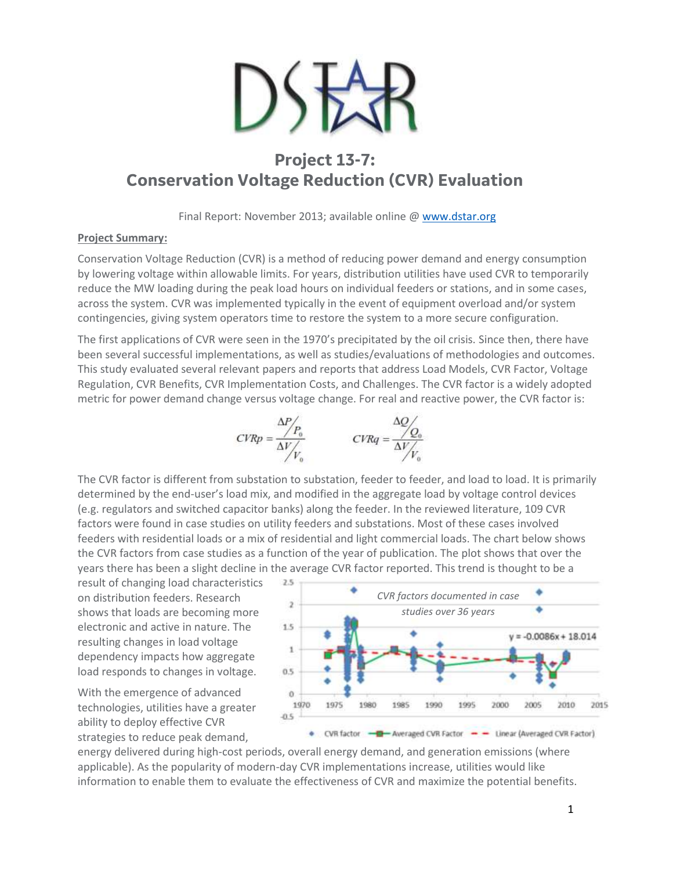

# **Project 13-7: Conservation Voltage Reduction (CVR) Evaluation**

Final Report: November 2013; available online [@ www.dstar.org](http://www.dstar.org/research/project/90/P13-6-centralized-vs-distributed-fa-and-impacts-on-distribution-performance)

#### **Project Summary:**

Conservation Voltage Reduction (CVR) is a method of reducing power demand and energy consumption by lowering voltage within allowable limits. For years, distribution utilities have used CVR to temporarily reduce the MW loading during the peak load hours on individual feeders or stations, and in some cases, across the system. CVR was implemented typically in the event of equipment overload and/or system contingencies, giving system operators time to restore the system to a more secure configuration.

The first applications of CVR were seen in the 1970's precipitated by the oil crisis. Since then, there have been several successful implementations, as well as studies/evaluations of methodologies and outcomes. This study evaluated several relevant papers and reports that address Load Models, CVR Factor, Voltage Regulation, CVR Benefits, CVR Implementation Costs, and Challenges. The CVR factor is a widely adopted metric for power demand change versus voltage change. For real and reactive power, the CVR factor is:



The CVR factor is different from substation to substation, feeder to feeder, and load to load. It is primarily determined by the end-user's load mix, and modified in the aggregate load by voltage control devices (e.g. regulators and switched capacitor banks) along the feeder. In the reviewed literature, 109 CVR factors were found in case studies on utility feeders and substations. Most of these cases involved feeders with residential loads or a mix of residential and light commercial loads. The chart below shows the CVR factors from case studies as a function of the year of publication. The plot shows that over the years there has been a slight decline in the average CVR factor reported. This trend is thought to be a

result of changing load characteristics on distribution feeders. Research shows that loads are becoming more electronic and active in nature. The resulting changes in load voltage dependency impacts how aggregate load responds to changes in voltage.

With the emergence of advanced technologies, utilities have a greater ability to deploy effective CVR strategies to reduce peak demand,



energy delivered during high-cost periods, overall energy demand, and generation emissions (where applicable). As the popularity of modern-day CVR implementations increase, utilities would like information to enable them to evaluate the effectiveness of CVR and maximize the potential benefits.